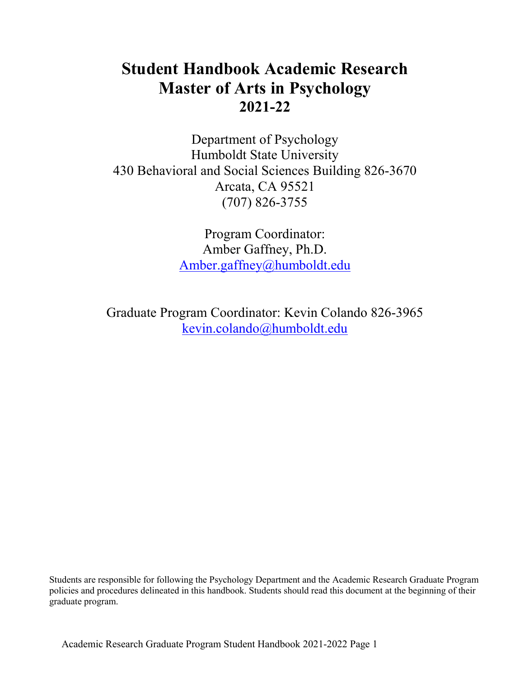# **Student Handbook Academic Research Master of Arts in Psychology 2021-22**

Department of Psychology Humboldt State University 430 Behavioral and Social Sciences Building 826-3670 Arcata, CA 95521 (707) 826-3755

> Program Coordinator: Amber Gaffney, Ph.D. [Amber.gaffney@humboldt.edu](mailto:Amber.gaffney@humboldt.edu)

Graduate Program Coordinator: Kevin Colando 826-3965 [kevin.colando@humboldt.edu](mailto:kevin.colando@humboldt.edu)

Students are responsible for following the Psychology Department and the Academic Research Graduate Program policies and procedures delineated in this handbook. Students should read this document at the beginning of their graduate program.

Academic Research Graduate Program Student Handbook 2021-2022 Page 1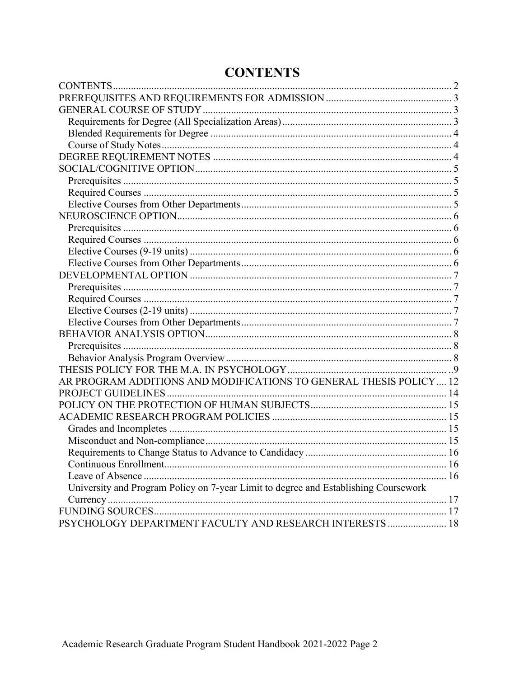## **CONTENTS**

<span id="page-1-0"></span>

| AR PROGRAM ADDITIONS AND MODIFICATIONS TO GENERAL THESIS POLICY 12                  |  |
|-------------------------------------------------------------------------------------|--|
|                                                                                     |  |
|                                                                                     |  |
|                                                                                     |  |
|                                                                                     |  |
|                                                                                     |  |
|                                                                                     |  |
|                                                                                     |  |
|                                                                                     |  |
| University and Program Policy on 7-year Limit to degree and Establishing Coursework |  |
|                                                                                     |  |
|                                                                                     |  |
| PSYCHOLOGY DEPARTMENT FACULTY AND RESEARCH INTERESTS  18                            |  |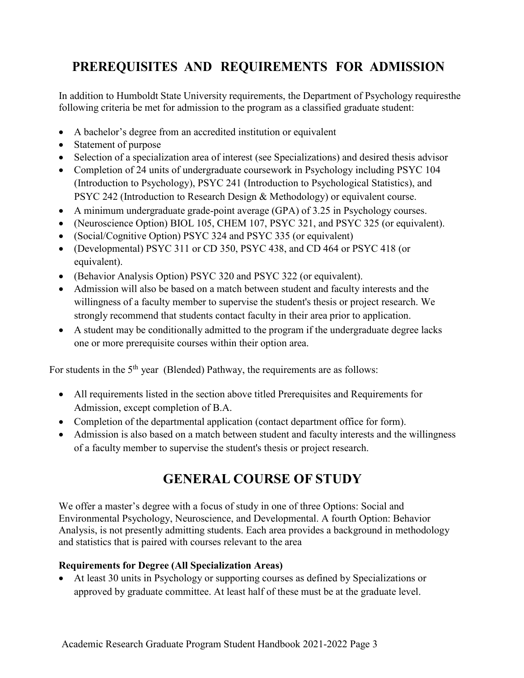# <span id="page-2-0"></span>**PREREQUISITES AND REQUIREMENTS FOR ADMISSION**

In addition to Humboldt State University requirements, the Department of Psychology requiresthe following criteria be met for admission to the program as a classified graduate student:

- A bachelor's degree from an accredited institution or equivalent
- Statement of purpose
- Selection of a specialization area of interest (see Specializations) and desired thesis advisor
- Completion of 24 units of undergraduate coursework in Psychology including PSYC 104 (Introduction to Psychology), PSYC 241 (Introduction to Psychological Statistics), and PSYC 242 (Introduction to Research Design & Methodology) or equivalent course.
- A minimum undergraduate grade-point average (GPA) of 3.25 in Psychology courses.
- (Neuroscience Option) BIOL 105, CHEM 107, PSYC 321, and PSYC 325 (or equivalent).
- (Social/Cognitive Option) PSYC 324 and PSYC 335 (or equivalent)
- (Developmental) PSYC 311 or CD 350, PSYC 438, and CD 464 or PSYC 418 (or equivalent).
- (Behavior Analysis Option) PSYC 320 and PSYC 322 (or equivalent).
- Admission will also be based on a match between student and faculty interests and the willingness of a faculty member to supervise the student's thesis or project research. We strongly recommend that students contact faculty in their area prior to application.
- A student may be conditionally admitted to the program if the undergraduate degree lacks one or more prerequisite courses within their option area.

For students in the  $5<sup>th</sup>$  year (Blended) Pathway, the requirements are as follows:

- All requirements listed in the section above titled Prerequisites and Requirements for Admission, except completion of B.A.
- Completion of the departmental application (contact department office for form).
- <span id="page-2-1"></span>• Admission is also based on a match between student and faculty interests and the willingness of a faculty member to supervise the student's thesis or project research.

# **GENERAL COURSE OF STUDY**

We offer a master's degree with a focus of study in one of three Options: Social and Environmental Psychology, Neuroscience, and Developmental. A fourth Option: Behavior Analysis, is not presently admitting students. Each area provides a background in methodology and statistics that is paired with courses relevant to the area

#### <span id="page-2-2"></span>**Requirements for Degree (All Specialization Areas)**

• At least 30 units in Psychology or supporting courses as defined by Specializations or approved by graduate committee. At least half of these must be at the graduate level.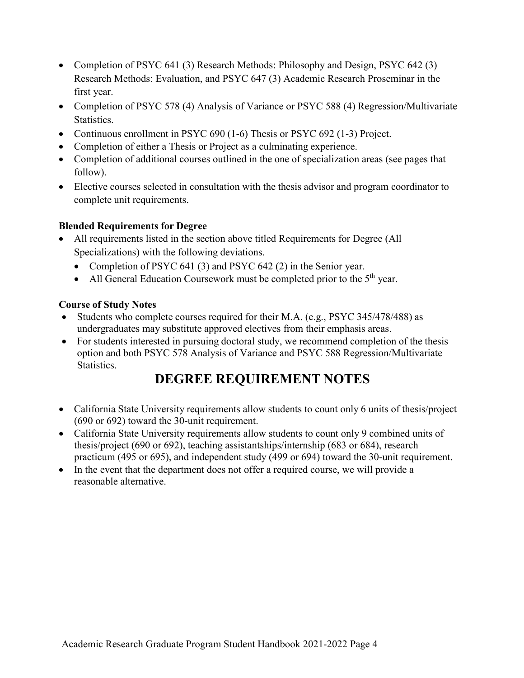- Completion of PSYC 641 (3) Research Methods: Philosophy and Design, PSYC 642 (3) Research Methods: Evaluation, and PSYC 647 (3) Academic Research Proseminar in the first year.
- Completion of PSYC 578 (4) Analysis of Variance or PSYC 588 (4) Regression/Multivariate Statistics.
- Continuous enrollment in PSYC 690 (1-6) Thesis or PSYC 692 (1-3) Project.
- Completion of either a Thesis or Project as a culminating experience.
- Completion of additional courses outlined in the one of specialization areas (see pages that follow).
- Elective courses selected in consultation with the thesis advisor and program coordinator to complete unit requirements.

#### <span id="page-3-0"></span>**Blended Requirements for Degree**

- All requirements listed in the section above titled Requirements for Degree (All Specializations) with the following deviations.
	- Completion of PSYC 641 (3) and PSYC 642 (2) in the Senior year.
	- All General Education Coursework must be completed prior to the  $5<sup>th</sup>$  year.

#### <span id="page-3-1"></span>**Course of Study Notes**

- Students who complete courses required for their M.A. (e.g., PSYC 345/478/488) as undergraduates may substitute approved electives from their emphasis areas.
- For students interested in pursuing doctoral study, we recommend completion of the thesis option and both PSYC 578 Analysis of Variance and PSYC 588 Regression/Multivariate Statistics.

## **DEGREE REQUIREMENT NOTES**

- <span id="page-3-2"></span>• California State University requirements allow students to count only 6 units of thesis/project (690 or 692) toward the 30-unit requirement.
- California State University requirements allow students to count only 9 combined units of thesis/project (690 or 692), teaching assistantships/internship (683 or 684), research practicum (495 or 695), and independent study (499 or 694) toward the 30-unit requirement.
- <span id="page-3-3"></span>• In the event that the department does not offer a required course, we will provide a reasonable alternative.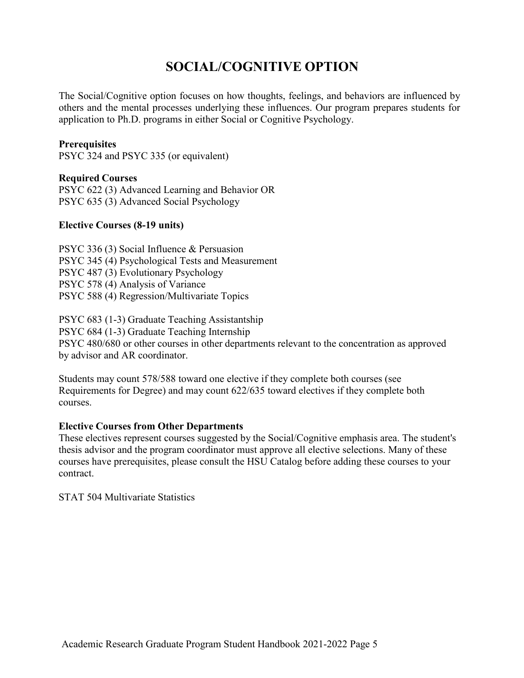## **SOCIAL/COGNITIVE OPTION**

The Social/Cognitive option focuses on how thoughts, feelings, and behaviors are influenced by others and the mental processes underlying these influences. Our program prepares students for application to Ph.D. programs in either Social or Cognitive Psychology.

#### <span id="page-4-0"></span>**Prerequisites**

PSYC 324 and PSYC 335 (or equivalent)

#### <span id="page-4-1"></span>**Required Courses**

PSYC 622 (3) Advanced Learning and Behavior OR PSYC 635 (3) Advanced Social Psychology

#### **Elective Courses (8-19 units)**

PSYC 336 (3) Social Influence & Persuasion PSYC 345 (4) Psychological Tests and Measurement PSYC 487 (3) Evolutionary Psychology PSYC 578 (4) Analysis of Variance PSYC 588 (4) Regression/Multivariate Topics

PSYC 683 (1-3) Graduate Teaching Assistantship PSYC 684 (1-3) Graduate Teaching Internship PSYC 480/680 or other courses in other departments relevant to the concentration as approved by advisor and AR coordinator.

Students may count 578/588 toward one elective if they complete both courses (see Requirements for Degree) and may count 622/635 toward electives if they complete both courses.

#### <span id="page-4-2"></span>**Elective Courses from Other Departments**

These electives represent courses suggested by the Social/Cognitive emphasis area. The student's thesis advisor and the program coordinator must approve all elective selections. Many of these courses have prerequisites, please consult the HSU Catalog before adding these courses to your contract.

<span id="page-4-3"></span>STAT 504 Multivariate Statistics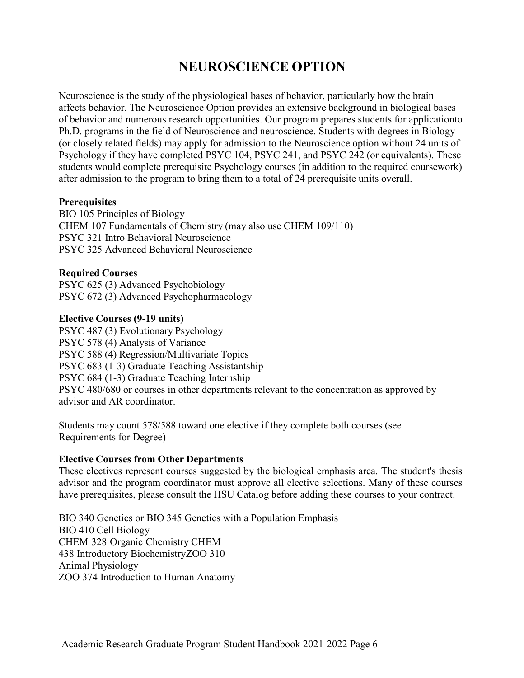## **NEUROSCIENCE OPTION**

Neuroscience is the study of the physiological bases of behavior, particularly how the brain affects behavior. The Neuroscience Option provides an extensive background in biological bases of behavior and numerous research opportunities. Our program prepares students for applicationto Ph.D. programs in the field of Neuroscience and neuroscience. Students with degrees in Biology (or closely related fields) may apply for admission to the Neuroscience option without 24 units of Psychology if they have completed PSYC 104, PSYC 241, and PSYC 242 (or equivalents). These students would complete prerequisite Psychology courses (in addition to the required coursework) after admission to the program to bring them to a total of 24 prerequisite units overall.

#### <span id="page-5-0"></span>**Prerequisites**

BIO 105 Principles of Biology CHEM 107 Fundamentals of Chemistry (may also use CHEM 109/110) PSYC 321 Intro Behavioral Neuroscience PSYC 325 Advanced Behavioral Neuroscience

#### <span id="page-5-1"></span>**Required Courses**

PSYC 625 (3) Advanced Psychobiology PSYC 672 (3) Advanced Psychopharmacology

#### <span id="page-5-2"></span>**Elective Courses (9-19 units)**

PSYC 487 (3) Evolutionary Psychology PSYC 578 (4) Analysis of Variance PSYC 588 (4) Regression/Multivariate Topics PSYC 683 (1-3) Graduate Teaching Assistantship PSYC 684 (1-3) Graduate Teaching Internship PSYC 480/680 or courses in other departments relevant to the concentration as approved by advisor and AR coordinator.

Students may count 578/588 toward one elective if they complete both courses (see Requirements for Degree)

#### <span id="page-5-3"></span>**Elective Courses from Other Departments**

These electives represent courses suggested by the biological emphasis area. The student's thesis advisor and the program coordinator must approve all elective selections. Many of these courses have prerequisites, please consult the HSU Catalog before adding these courses to your contract.

<span id="page-5-4"></span>BIO 340 Genetics or BIO 345 Genetics with a Population Emphasis BIO 410 Cell Biology CHEM 328 Organic Chemistry CHEM 438 Introductory BiochemistryZOO 310 Animal Physiology ZOO 374 Introduction to Human Anatomy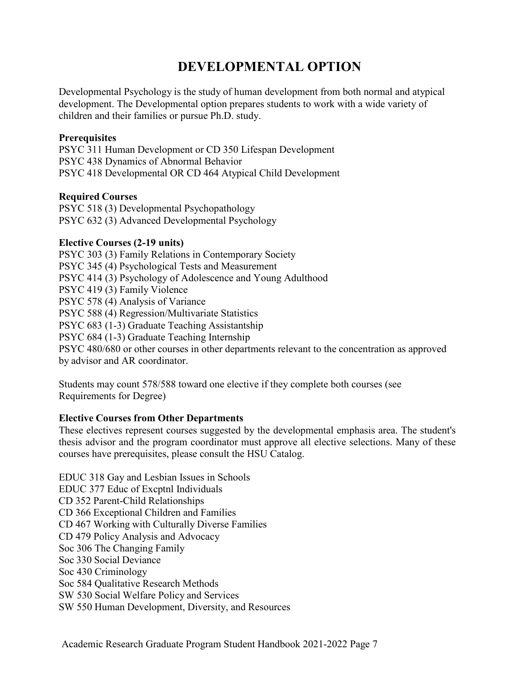## **DEVELOPMENTAL OPTION**

Developmental Psychology is the study of human development from both normal and atypical development. The Developmental option prepares students to work with a wide variety of children and their families or pursue Ph.D. study.

#### <span id="page-6-0"></span>**Prerequisites**

PSYC 311 Human Development or CD 350 Lifespan Development PSYC 438 Dynamics of Abnormal Behavior PSYC 418 Developmental OR CD 464 Atypical Child Development

#### <span id="page-6-1"></span>**Required Courses**

<span id="page-6-2"></span>PSYC 518 (3) Developmental Psychopathology PSYC 632 (3) Advanced Developmental Psychology

#### **Elective Courses (2-19 units)**

PSYC 303 (3) Family Relations in Contemporary Society PSYC 345 (4) Psychological Tests and Measurement PSYC 414 (3) Psychology of Adolescence and Young Adulthood PSYC 419 (3) Family Violence PSYC 578 (4) Analysis of Variance PSYC 588 (4) Regression/Multivariate Statistics PSYC 683 (1-3) Graduate Teaching Assistantship PSYC 684 (1-3) Graduate Teaching Internship PSYC 480/680 or other courses in other departments relevant to the concentration as approved by advisor and AR coordinator.

Students may count 578/588 toward one elective if they complete both courses (see Requirements for Degree)

#### <span id="page-6-3"></span>**Elective Courses from Other Departments**

These electives represent courses suggested by the developmental emphasis area. The student's thesis advisor and the program coordinator must approve all elective selections. Many of these courses have prerequisites, please consult the HSU Catalog.

<span id="page-6-4"></span>EDUC 318 Gay and Lesbian Issues in Schools EDUC 377 Educ of Excptnl Individuals CD 352 Parent-Child Relationships CD 366 Exceptional Children and Families CD 467 Working with Culturally Diverse Families CD 479 Policy Analysis and Advocacy Soc 306 The Changing Family Soc 330 Social Deviance Soc 430 Criminology Soc 584 Qualitative Research Methods SW 530 Social Welfare Policy and Services SW 550 Human Development, Diversity, and Resources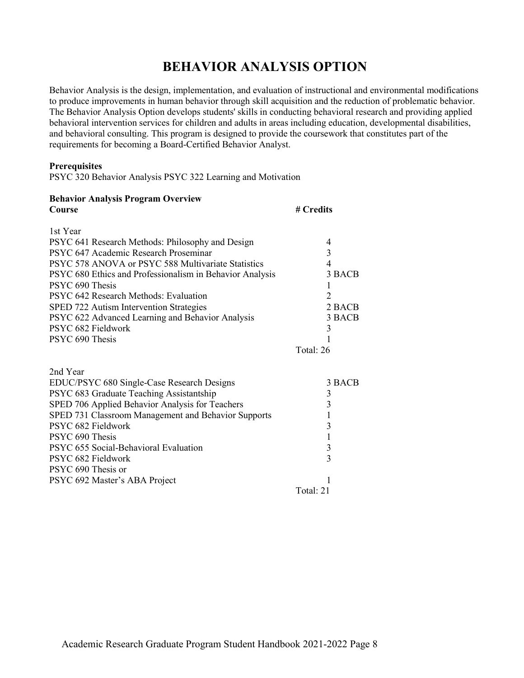## **BEHAVIOR ANALYSIS OPTION**

Behavior Analysis is the design, implementation, and evaluation of instructional and environmental modifications to produce improvements in human behavior through skill acquisition and the reduction of problematic behavior. The Behavior Analysis Option develops students' skills in conducting behavioral research and providing applied behavioral intervention services for children and adults in areas including education, developmental disabilities, and behavioral consulting. This program is designed to provide the coursework that constitutes part of the requirements for becoming a Board-Certified Behavior Analyst.

#### <span id="page-7-0"></span>**Prerequisites**

PSYC 320 Behavior Analysis PSYC 322 Learning and Motivation

<span id="page-7-2"></span><span id="page-7-1"></span>

| <b>Behavior Analysis Program Overview</b>                |                          |  |  |
|----------------------------------------------------------|--------------------------|--|--|
| Course                                                   | # Credits                |  |  |
| 1st Year                                                 |                          |  |  |
| PSYC 641 Research Methods: Philosophy and Design         | 4                        |  |  |
| PSYC 647 Academic Research Proseminar                    | 3                        |  |  |
| PSYC 578 ANOVA or PSYC 588 Multivariate Statistics       | $\overline{\mathcal{A}}$ |  |  |
| PSYC 680 Ethics and Professionalism in Behavior Analysis | 3 BACB                   |  |  |
| PSYC 690 Thesis                                          | 1                        |  |  |
| PSYC 642 Research Methods: Evaluation                    | $\overline{2}$           |  |  |
| SPED 722 Autism Intervention Strategies                  | 2 BACB                   |  |  |
| PSYC 622 Advanced Learning and Behavior Analysis         | 3 BACB                   |  |  |
| PSYC 682 Fieldwork                                       | 3                        |  |  |
| PSYC 690 Thesis                                          |                          |  |  |
|                                                          | Total: 26                |  |  |
| 2nd Year                                                 |                          |  |  |
| EDUC/PSYC 680 Single-Case Research Designs               | 3 BACB                   |  |  |
| PSYC 683 Graduate Teaching Assistantship                 | 3                        |  |  |
| SPED 706 Applied Behavior Analysis for Teachers          | 3                        |  |  |
| SPED 731 Classroom Management and Behavior Supports      | 1                        |  |  |
| PSYC 682 Fieldwork                                       | 3                        |  |  |
| PSYC 690 Thesis                                          | $\mathbf{1}$             |  |  |
| PSYC 655 Social-Behavioral Evaluation                    | $\overline{\mathbf{3}}$  |  |  |
| PSYC 682 Fieldwork                                       | $\overline{3}$           |  |  |
| PSYC 690 Thesis or                                       |                          |  |  |
| PSYC 692 Master's ABA Project                            | 1                        |  |  |
|                                                          | Total: 21                |  |  |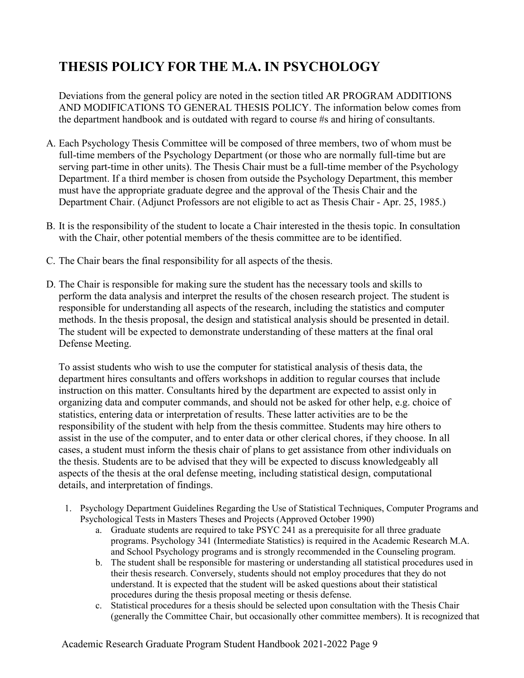# **THESIS POLICY FOR THE M.A. IN PSYCHOLOGY**

Deviations from the general policy are noted in the section titled AR PROGRAM ADDITIONS AND MODIFICATIONS TO GENERAL THESIS POLICY. The information below comes from the department handbook and is outdated with regard to course #s and hiring of consultants.

- A. Each Psychology Thesis Committee will be composed of three members, two of whom must be full-time members of the Psychology Department (or those who are normally full-time but are serving part-time in other units). The Thesis Chair must be a full-time member of the Psychology Department. If a third member is chosen from outside the Psychology Department, this member must have the appropriate graduate degree and the approval of the Thesis Chair and the Department Chair. (Adjunct Professors are not eligible to act as Thesis Chair - Apr. 25, 1985.)
- B. It is the responsibility of the student to locate a Chair interested in the thesis topic. In consultation with the Chair, other potential members of the thesis committee are to be identified.
- C. The Chair bears the final responsibility for all aspects of the thesis.
- D. The Chair is responsible for making sure the student has the necessary tools and skills to perform the data analysis and interpret the results of the chosen research project. The student is responsible for understanding all aspects of the research, including the statistics and computer methods. In the thesis proposal, the design and statistical analysis should be presented in detail. The student will be expected to demonstrate understanding of these matters at the final oral Defense Meeting.

To assist students who wish to use the computer for statistical analysis of thesis data, the department hires consultants and offers workshops in addition to regular courses that include instruction on this matter. Consultants hired by the department are expected to assist only in organizing data and computer commands, and should not be asked for other help, e.g. choice of statistics, entering data or interpretation of results. These latter activities are to be the responsibility of the student with help from the thesis committee. Students may hire others to assist in the use of the computer, and to enter data or other clerical chores, if they choose. In all cases, a student must inform the thesis chair of plans to get assistance from other individuals on the thesis. Students are to be advised that they will be expected to discuss knowledgeably all aspects of the thesis at the oral defense meeting, including statistical design, computational details, and interpretation of findings.

- 1. Psychology Department Guidelines Regarding the Use of Statistical Techniques, Computer Programs and Psychological Tests in Masters Theses and Projects (Approved October 1990)
	- a. Graduate students are required to take PSYC 241 as a prerequisite for all three graduate programs. Psychology 341 (Intermediate Statistics) is required in the Academic Research M.A. and School Psychology programs and is strongly recommended in the Counseling program.
	- b. The student shall be responsible for mastering or understanding all statistical procedures used in their thesis research. Conversely, students should not employ procedures that they do not understand. It is expected that the student will be asked questions about their statistical procedures during the thesis proposal meeting or thesis defense.
	- c. Statistical procedures for a thesis should be selected upon consultation with the Thesis Chair (generally the Committee Chair, but occasionally other committee members). It is recognized that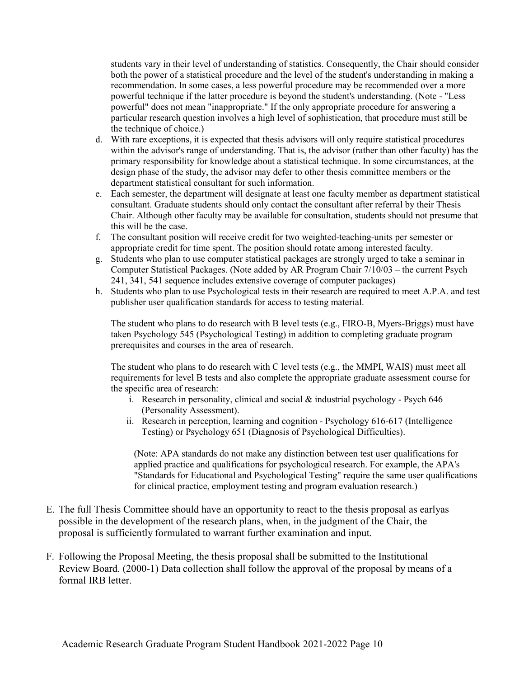students vary in their level of understanding of statistics. Consequently, the Chair should consider both the power of a statistical procedure and the level of the student's understanding in making a recommendation. In some cases, a less powerful procedure may be recommended over a more powerful technique if the latter procedure is beyond the student's understanding. (Note - "Less powerful" does not mean "inappropriate." If the only appropriate procedure for answering a particular research question involves a high level of sophistication, that procedure must still be the technique of choice.)

- d. With rare exceptions, it is expected that thesis advisors will only require statistical procedures within the advisor's range of understanding. That is, the advisor (rather than other faculty) has the primary responsibility for knowledge about a statistical technique. In some circumstances, at the design phase of the study, the advisor may defer to other thesis committee members or the department statistical consultant for such information.
- e. Each semester, the department will designate at least one faculty member as department statistical consultant. Graduate students should only contact the consultant after referral by their Thesis Chair. Although other faculty may be available for consultation, students should not presume that this will be the case.
- f. The consultant position will receive credit for two weighted-teaching-units per semester or appropriate credit for time spent. The position should rotate among interested faculty.
- g. Students who plan to use computer statistical packages are strongly urged to take a seminar in Computer Statistical Packages. (Note added by AR Program Chair 7/10/03 – the current Psych 241, 341, 541 sequence includes extensive coverage of computer packages)
- h. Students who plan to use Psychological tests in their research are required to meet A.P.A. and test publisher user qualification standards for access to testing material.

The student who plans to do research with B level tests (e.g., FIRO-B, Myers-Briggs) must have taken Psychology 545 (Psychological Testing) in addition to completing graduate program prerequisites and courses in the area of research.

The student who plans to do research with C level tests (e.g., the MMPI, WAIS) must meet all requirements for level B tests and also complete the appropriate graduate assessment course for the specific area of research:

- i. Research in personality, clinical and social  $&$  industrial psychology Psych 646 (Personality Assessment).
- ii. Research in perception, learning and cognition Psychology 616-617 (Intelligence Testing) or Psychology 651 (Diagnosis of Psychological Difficulties).

(Note: APA standards do not make any distinction between test user qualifications for applied practice and qualifications for psychological research. For example, the APA's "Standards for Educational and Psychological Testing" require the same user qualifications for clinical practice, employment testing and program evaluation research.)

- E. The full Thesis Committee should have an opportunity to react to the thesis proposal as earlyas possible in the development of the research plans, when, in the judgment of the Chair, the proposal is sufficiently formulated to warrant further examination and input.
- F. Following the Proposal Meeting, the thesis proposal shall be submitted to the Institutional Review Board. (2000-1) Data collection shall follow the approval of the proposal by means of a formal IRB letter.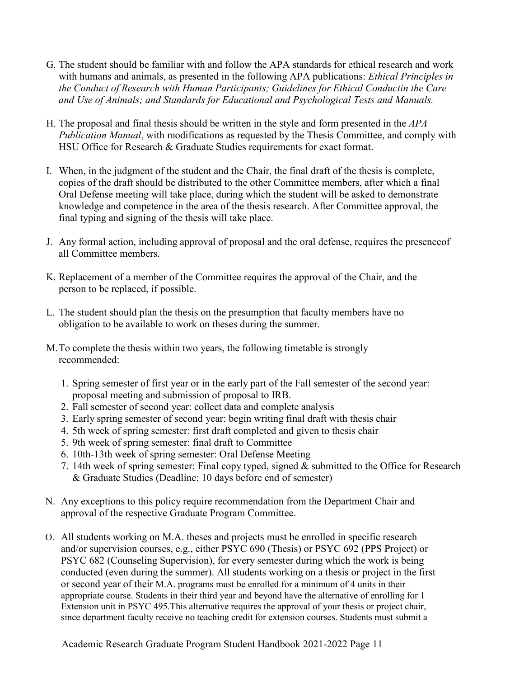- G. The student should be familiar with and follow the APA standards for ethical research and work with humans and animals, as presented in the following APA publications: *Ethical Principles in the Conduct of Research with Human Participants; Guidelines for Ethical Conductin the Care and Use of Animals; and Standards for Educational and Psychological Tests and Manuals.*
- H. The proposal and final thesis should be written in the style and form presented in the *APA Publication Manual*, with modifications as requested by the Thesis Committee, and comply with HSU Office for Research & Graduate Studies requirements for exact format.
- I. When, in the judgment of the student and the Chair, the final draft of the thesis is complete, copies of the draft should be distributed to the other Committee members, after which a final Oral Defense meeting will take place, during which the student will be asked to demonstrate knowledge and competence in the area of the thesis research. After Committee approval, the final typing and signing of the thesis will take place.
- J. Any formal action, including approval of proposal and the oral defense, requires the presenceof all Committee members.
- K. Replacement of a member of the Committee requires the approval of the Chair, and the person to be replaced, if possible.
- L. The student should plan the thesis on the presumption that faculty members have no obligation to be available to work on theses during the summer.
- M.To complete the thesis within two years, the following timetable is strongly recommended:
	- 1. Spring semester of first year or in the early part of the Fall semester of the second year: proposal meeting and submission of proposal to IRB.
	- 2. Fall semester of second year: collect data and complete analysis
	- 3. Early spring semester of second year: begin writing final draft with thesis chair
	- 4. 5th week of spring semester: first draft completed and given to thesis chair
	- 5. 9th week of spring semester: final draft to Committee
	- 6. 10th-13th week of spring semester: Oral Defense Meeting
	- 7. 14th week of spring semester: Final copy typed, signed & submitted to the Office for Research & Graduate Studies (Deadline: 10 days before end of semester)
- N. Any exceptions to this policy require recommendation from the Department Chair and approval of the respective Graduate Program Committee.
- O. All students working on M.A. theses and projects must be enrolled in specific research and/or supervision courses, e.g., either PSYC 690 (Thesis) or PSYC 692 (PPS Project) or PSYC 682 (Counseling Supervision), for every semester during which the work is being conducted (even during the summer). All students working on a thesis or project in the first or second year of their M.A. programs must be enrolled for a minimum of 4 units in their appropriate course. Students in their third year and beyond have the alternative of enrolling for 1 Extension unit in PSYC 495.This alternative requires the approval of your thesis or project chair, since department faculty receive no teaching credit for extension courses. Students must submit a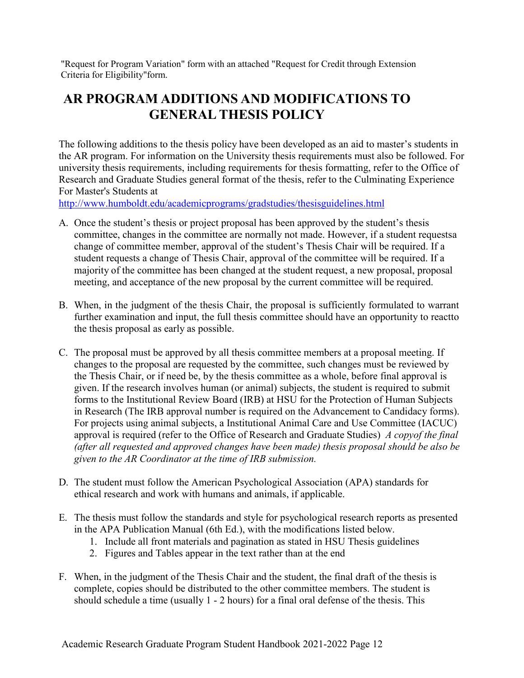"Request for Program Variation" form with an attached "Request for Credit through Extension Criteria for Eligibility"form.

## <span id="page-11-0"></span>**AR PROGRAM ADDITIONS AND MODIFICATIONS TO GENERAL THESIS POLICY**

The following additions to the thesis policy have been developed as an aid to master's students in the AR program. For information on the University thesis requirements must also be followed. For university thesis requirements, including requirements for thesis formatting, refer to the Office of Research and Graduate Studies general format of the thesis, refer to the Culminating Experience For Master's Students at

<http://www.humboldt.edu/academicprograms/gradstudies/thesisguidelines.html>

- A. Once the student's thesis or project proposal has been approved by the student's thesis committee, changes in the committee are normally not made. However, if a student requestsa change of committee member, approval of the student's Thesis Chair will be required. If a student requests a change of Thesis Chair, approval of the committee will be required. If a majority of the committee has been changed at the student request, a new proposal, proposal meeting, and acceptance of the new proposal by the current committee will be required.
- B. When, in the judgment of the thesis Chair, the proposal is sufficiently formulated to warrant further examination and input, the full thesis committee should have an opportunity to reactto the thesis proposal as early as possible.
- C. The proposal must be approved by all thesis committee members at a proposal meeting. If changes to the proposal are requested by the committee, such changes must be reviewed by the Thesis Chair, or if need be, by the thesis committee as a whole, before final approval is given. If the research involves human (or animal) subjects, the student is required to submit forms to the Institutional Review Board (IRB) at HSU for the Protection of Human Subjects in Research (The IRB approval number is required on the Advancement to Candidacy forms). For projects using animal subjects, a Institutional Animal Care and Use Committee (IACUC) approval is required (refer to the Office of Research and Graduate Studies) *A copyof the final (after all requested and approved changes have been made) thesis proposal should be also be given to the AR Coordinator at the time of IRB submission.*
- D. The student must follow the American Psychological Association (APA) standards for ethical research and work with humans and animals, if applicable.
- E. The thesis must follow the standards and style for psychological research reports as presented in the APA Publication Manual (6th Ed.), with the modifications listed below.
	- 1. Include all front materials and pagination as stated in HSU Thesis guidelines
	- 2. Figures and Tables appear in the text rather than at the end
- F. When, in the judgment of the Thesis Chair and the student, the final draft of the thesis is complete, copies should be distributed to the other committee members. The student is should schedule a time (usually 1 - 2 hours) for a final oral defense of the thesis. This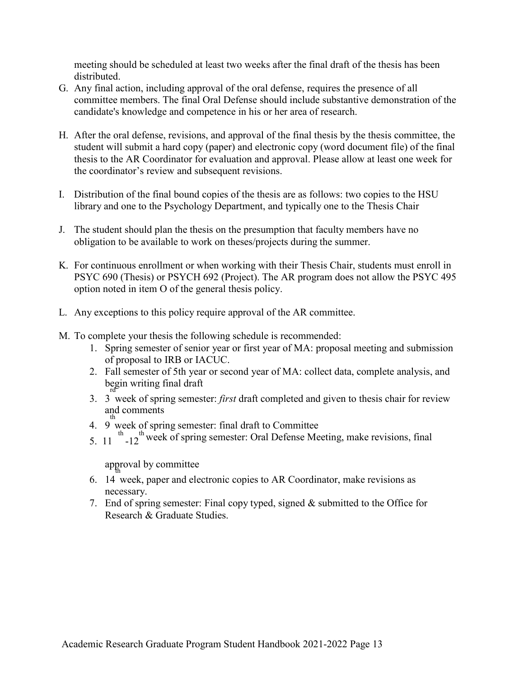meeting should be scheduled at least two weeks after the final draft of the thesis has been distributed.

- G. Any final action, including approval of the oral defense, requires the presence of all committee members. The final Oral Defense should include substantive demonstration of the candidate's knowledge and competence in his or her area of research.
- H. After the oral defense, revisions, and approval of the final thesis by the thesis committee, the student will submit a hard copy (paper) and electronic copy (word document file) of the final thesis to the AR Coordinator for evaluation and approval. Please allow at least one week for the coordinator's review and subsequent revisions.
- I. Distribution of the final bound copies of the thesis are as follows: two copies to the HSU library and one to the Psychology Department, and typically one to the Thesis Chair
- J. The student should plan the thesis on the presumption that faculty members have no obligation to be available to work on theses/projects during the summer.
- K. For continuous enrollment or when working with their Thesis Chair, students must enroll in PSYC 690 (Thesis) or PSYCH 692 (Project). The AR program does not allow the PSYC 495 option noted in item O of the general thesis policy.
- L. Any exceptions to this policy require approval of the AR committee.
- M. To complete your thesis the following schedule is recommended:
	- 1. Spring semester of senior year or first year of MA: proposal meeting and submission of proposal to IRB or IACUC.
	- 2. Fall semester of 5th year or second year of MA: collect data, complete analysis, and begin writing final draft rd
	- 3. 3 week of spring semester: *first* draft completed and given to thesis chair for review and comments th
	- 4. 9 week of spring semester: final draft to Committee
	- 5. 11 <sup>th</sup> -12<sup>th</sup> week of spring semester: Oral Defense Meeting, make revisions, final

approval by committee th

- 6. 14 week, paper and electronic copies to AR Coordinator, make revisions as necessary.
- 7. End of spring semester: Final copy typed, signed & submitted to the Office for Research & Graduate Studies.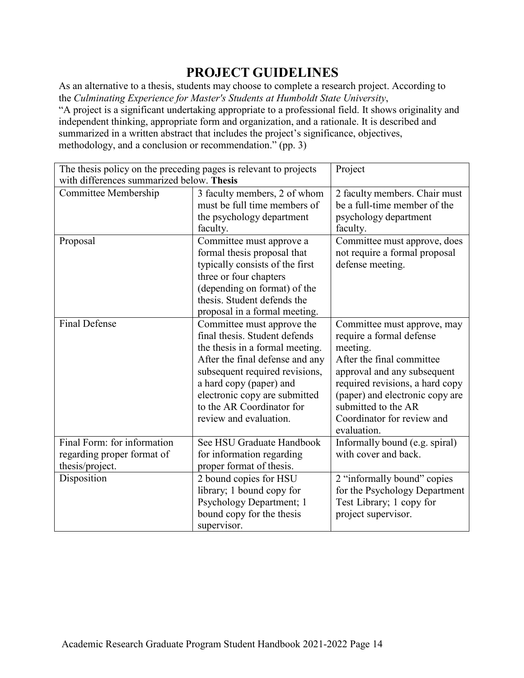## **PROJECT GUIDELINES**

<span id="page-13-0"></span>As an alternative to a thesis, students may choose to complete a research project. According to the *Culminating Experience for Master's Students at Humboldt State University*, "A project is a significant undertaking appropriate to a professional field. It shows originality and independent thinking, appropriate form and organization, and a rationale. It is described and summarized in a written abstract that includes the project's significance, objectives, methodology, and a conclusion or recommendation." (pp. 3)

| The thesis policy on the preceding pages is relevant to projects |                                 | Project                                                |
|------------------------------------------------------------------|---------------------------------|--------------------------------------------------------|
| with differences summarized below. Thesis                        |                                 |                                                        |
| Committee Membership                                             | 3 faculty members, 2 of whom    | 2 faculty members. Chair must                          |
|                                                                  | must be full time members of    | be a full-time member of the                           |
|                                                                  | the psychology department       | psychology department                                  |
|                                                                  | faculty.                        | faculty.                                               |
| Proposal                                                         | Committee must approve a        | Committee must approve, does                           |
|                                                                  | formal thesis proposal that     | not require a formal proposal                          |
|                                                                  | typically consists of the first | defense meeting.                                       |
|                                                                  | three or four chapters          |                                                        |
|                                                                  | (depending on format) of the    |                                                        |
|                                                                  | thesis. Student defends the     |                                                        |
|                                                                  | proposal in a formal meeting.   |                                                        |
| <b>Final Defense</b>                                             | Committee must approve the      | Committee must approve, may                            |
|                                                                  | final thesis. Student defends   | require a formal defense                               |
|                                                                  | the thesis in a formal meeting. | meeting.                                               |
|                                                                  | After the final defense and any | After the final committee                              |
|                                                                  | subsequent required revisions,  | approval and any subsequent                            |
|                                                                  | a hard copy (paper) and         | required revisions, a hard copy                        |
|                                                                  | electronic copy are submitted   | (paper) and electronic copy are                        |
|                                                                  | to the AR Coordinator for       | submitted to the AR                                    |
|                                                                  | review and evaluation.          | Coordinator for review and<br>evaluation.              |
| Final Form: for information                                      | See HSU Graduate Handbook       |                                                        |
|                                                                  |                                 | Informally bound (e.g. spiral)<br>with cover and back. |
| regarding proper format of                                       | for information regarding       |                                                        |
| thesis/project.                                                  | proper format of thesis.        |                                                        |
| Disposition                                                      | 2 bound copies for HSU          | 2 "informally bound" copies                            |
|                                                                  | library; 1 bound copy for       | for the Psychology Department                          |
|                                                                  | Psychology Department; 1        | Test Library; 1 copy for                               |
|                                                                  | bound copy for the thesis       | project supervisor.                                    |
|                                                                  | supervisor.                     |                                                        |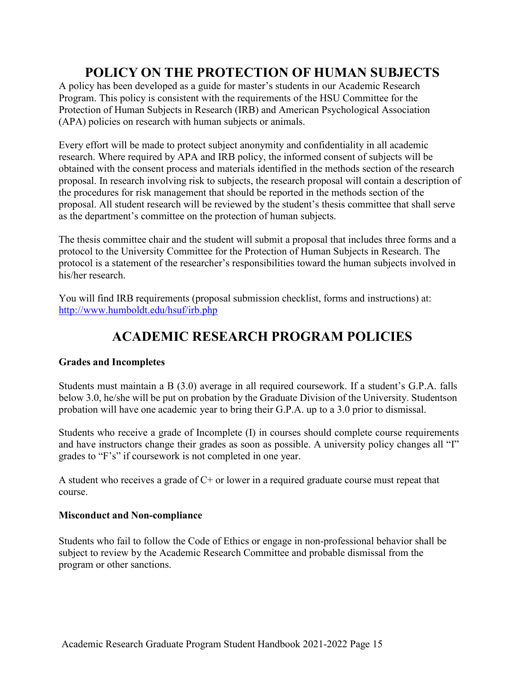## **POLICY ON THE PROTECTION OF HUMAN SUBJECTS**

<span id="page-14-0"></span>A policy has been developed as a guide for master's students in our Academic Research Program. This policy is consistent with the requirements of the HSU Committee for the Protection of Human Subjects in Research (IRB) and American Psychological Association (APA) policies on research with human subjects or animals.

Every effort will be made to protect subject anonymity and confidentiality in all academic research. Where required by APA and IRB policy, the informed consent of subjects will be obtained with the consent process and materials identified in the methods section of the research proposal. In research involving risk to subjects, the research proposal will contain a description of the procedures for risk management that should be reported in the methods section of the proposal. All student research will be reviewed by the student's thesis committee that shall serve as the department's committee on the protection of human subjects.

The thesis committee chair and the student will submit a proposal that includes three forms and a protocol to the University Committee for the Protection of Human Subjects in Research. The protocol is a statement of the researcher's responsibilities toward the human subjects involved in his/her research.

You will find IRB requirements (proposal submission checklist, forms and instructions) at: <http://www.humboldt.edu/hsuf/irb.php>

## **ACADEMIC RESEARCH PROGRAM POLICIES**

#### <span id="page-14-2"></span><span id="page-14-1"></span>**Grades and Incompletes**

Students must maintain a B (3.0) average in all required coursework. If a student's G.P.A. falls below 3.0, he/she will be put on probation by the Graduate Division of the University. Studentson probation will have one academic year to bring their G.P.A. up to a 3.0 prior to dismissal.

Students who receive a grade of Incomplete (I) in courses should complete course requirements and have instructors change their grades as soon as possible. A university policy changes all "I" grades to "F's" if coursework is not completed in one year.

A student who receives a grade of C+ or lower in a required graduate course must repeat that course.

#### <span id="page-14-3"></span>**Misconduct and Non-compliance**

Students who fail to follow the Code of Ethics or engage in non-professional behavior shall be subject to review by the Academic Research Committee and probable dismissal from the program or other sanctions.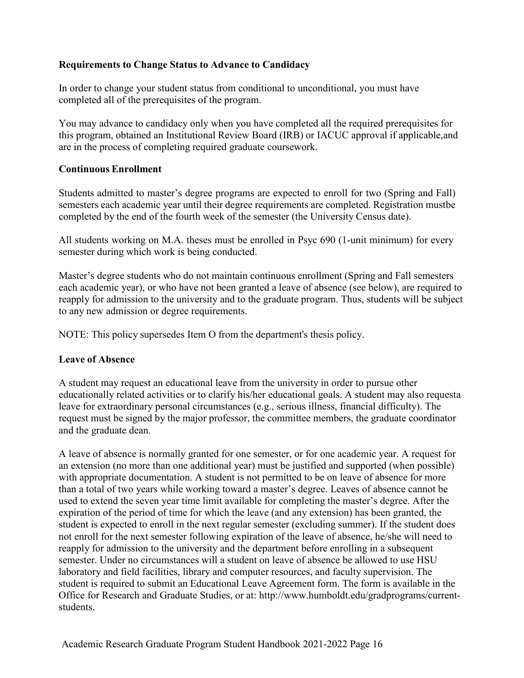#### <span id="page-15-0"></span>**Requirements to Change Status to Advance to Candidacy**

In order to change your student status from conditional to unconditional, you must have completed all of the prerequisites of the program.

You may advance to candidacy only when you have completed all the required prerequisites for this program, obtained an Institutional Review Board (IRB) or IACUC approval if applicable,and are in the process of completing required graduate coursework.

#### <span id="page-15-1"></span>**Continuous Enrollment**

Students admitted to master's degree programs are expected to enroll for two (Spring and Fall) semesters each academic year until their degree requirements are completed. Registration mustbe completed by the end of the fourth week of the semester (the University Census date).

All students working on M.A. theses must be enrolled in Psyc 690 (1-unit minimum) for every semester during which work is being conducted.

Master's degree students who do not maintain continuous enrollment (Spring and Fall semesters each academic year), or who have not been granted a leave of absence (see below), are required to reapply for admission to the university and to the graduate program. Thus, students will be subject to any new admission or degree requirements.

NOTE: This policy supersedes Item O from the department's thesis policy.

#### <span id="page-15-2"></span>**Leave of Absence**

A student may request an educational leave from the university in order to pursue other educationally related activities or to clarify his/her educational goals. A student may also requesta leave for extraordinary personal circumstances (e.g., serious illness, financial difficulty). The request must be signed by the major professor, the committee members, the graduate coordinator and the graduate dean.

A leave of absence is normally granted for one semester, or for one academic year. A request for an extension (no more than one additional year) must be justified and supported (when possible) with appropriate documentation. A student is not permitted to be on leave of absence for more than a total of two years while working toward a master's degree. Leaves of absence cannot be used to extend the seven year time limit available for completing the master's degree. After the expiration of the period of time for which the leave (and any extension) has been granted, the student is expected to enroll in the next regular semester (excluding summer). If the student does not enroll for the next semester following expiration of the leave of absence, he/she will need to reapply for admission to the university and the department before enrolling in a subsequent semester. Under no circumstances will a student on leave of absence be allowed to use HSU laboratory and field facilities, library and computer resources, and faculty supervision. The student is required to submit an Educational Leave Agreement form. The form is available in the Office for Research and Graduate Studies, or at: [http://www.humboldt.edu/gradprograms/current](http://www.humboldt.edu/gradprograms/current-students)[students.](http://www.humboldt.edu/gradprograms/current-students)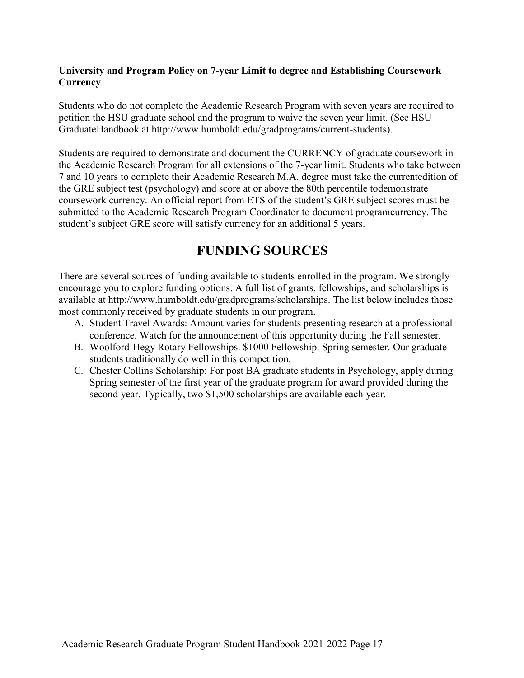#### <span id="page-16-0"></span>**University and Program Policy on 7-year Limit to degree and Establishing Coursework Currency**

Students who do not complete the Academic Research Program with seven years are required to petition the HSU graduate school and the program to waive the seven year limit. (See HSU GraduateHandbook at [http://www.humboldt.edu/gradprograms/current-students\).](http://www.humboldt.edu/gradprograms/current-students))

Students are required to demonstrate and document the CURRENCY of graduate coursework in the Academic Research Program for all extensions of the 7-year limit. Students who take between 7 and 10 years to complete their Academic Research M.A. degree must take the currentedition of the GRE subject test (psychology) and score at or above the 80th percentile todemonstrate coursework currency. An official report from ETS of the student's GRE subject scores must be submitted to the Academic Research Program Coordinator to document programcurrency. The student's subject GRE score will satisfy currency for an additional 5 years.

### **FUNDING SOURCES**

<span id="page-16-1"></span>There are several sources of funding available to students enrolled in the program. We strongly encourage you to explore funding options. A full list of grants, fellowships, and scholarships is available at [http://www.humboldt.edu/gradprograms/scholarships.](http://www.humboldt.edu/gradprograms/scholarships) The list below includes those most commonly received by graduate students in our program.

- A. Student Travel Awards: Amount varies for students presenting research at a professional conference. Watch for the announcement of this opportunity during the Fall semester.
- B. Woolford-Hegy Rotary Fellowships. \$1000 Fellowship. Spring semester. Our graduate students traditionally do well in this competition.
- <span id="page-16-2"></span>C. Chester Collins Scholarship: For post BA graduate students in Psychology, apply during Spring semester of the first year of the graduate program for award provided during the second year. Typically, two \$1,500 scholarships are available each year.